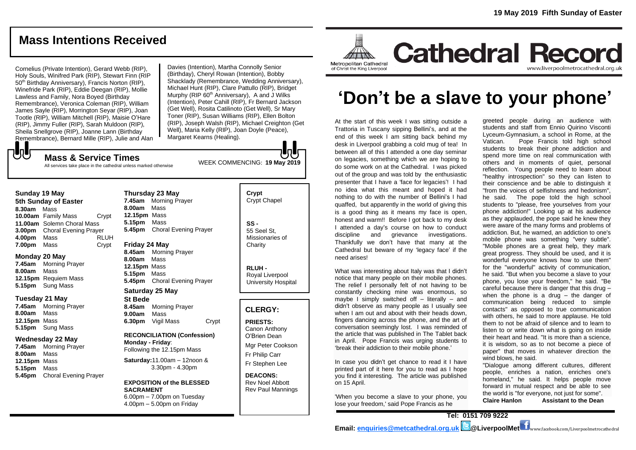# **Mass Intentions Received**

Cornelius (Private Intention), Gerard Webb (RIP), Holy Souls, Winifred Park (RIP), Stewart Finn (RIP 50<sup>th</sup> Birthday Anniversary), Francis Norton (RIP), Winefride Park (RIP), Eddie Deegan (RIP), Mollie Lawless and Family, Nora Boyed (Birthday Remembrance), Veronica Coleman (RIP), William James Sayle (RIP), Morrington Seyar (RIP), Joan Tootle (RIP), William Mitchell (RIP), Maisie O'Hare (RIP), Jimmy Fuller (RIP), Sarah Muldoon (RIP), Sheila Snellgrove (RIP), Joanne Lann (Birthday Remembrance), Bernard Mille (RIP), Julie and Alan Davies (Intention), Martha Connolly Senior (Birthday), Cheryl Rowan (Intention), Bobby Shacklady (Remembrance, Wedding Anniversary), Michael Hunt (RIP), Clare Pattullo (RIP), Bridget Murphy (RIP 60<sup>th</sup> Anniversary), A and J Wilks (Intention), Peter Cahill (RIP), Fr Bernard Jackson (Get Well), Rosita Catilinoto (Get Well), Sr Mary Toner (RIP), Susan Williams (RIP), Ellen Bolton (RIP), Joseph Walsh (RIP), Michael Creighton (Get Well), Maria Kelly (RIP), Joan Doyle (Peace), Margaret Kearns (Healing).

**Mass & Service Times** All services take place in the cathedral unless marked otherwise

#### **Sunday 19 May**

もし

**5th Sunday of Easter 8.30am** Mass **10.00am** Family Mass Crypt **11.00am** Solemn Choral Mass **3.00pm** Choral Evening Prayer **4.00pm** Mass RLUH **7.00pm** Mass Crypt

### **Monday 20 May**

**7.45am** Morning Prayer **8.00am** Mass **12.15pm** Requiem Mass **5.15pm** Sung Mass

#### **Tuesday 21 May**

**7.45am** Morning Prayer **8.00am** Mass **12.15pm** Mass **5.15pm** Sung Mass

### **Wednesday 22 May**

**7.45am** Morning Prayer **8.00am** Mass **12.15pm** Mass **5.15pm** Mass **5.45pm** Choral Evening Prayer **Thursday 23 May 7.45am** Morning Prayer **8.00am** Mass **12.15pm** Mass **5.15pm** Mass **5.45pm** Choral Evening Prayer

#### **Friday 24 May**

**8.45am** Morning Prayer **8.00am** Mass **12.15pm** Mass **5.15pm** Mass **5.45pm** Choral Evening Prayer

## **Saturday 25 May**

**St Bede 8.45am** Morning Prayer **9.00am** Mass **6.30pm** Vigil Mass Crypt

#### **RECONCILIATION (Confession) Monday - Friday**: Following the 12.15pm Mass

**Saturday:**11.00am – 12noon & 3.30pm - 4.30pm

#### **EXPOSITION of the BLESSED SACRAMENT** 6.00pm – 7.00pm on Tuesday

 $4.00 \text{pm} - 5.00 \text{pm}$  on Friday

#### **Crypt**  Crypt Chapel

**SS -** 55 Seel St, Missionaries of **Charity** 

> **RLUH -** Royal Liverpool University Hospital

## **CLERGY:**

**PRIESTS:** Canon Anthony O'Brien *Dean*

Mgr Peter Cookson Fr Philip Carr Fr Stephen Lee

**DEACONS:** Rev Noel Abbott Rev Paul Mannings



# **'Don't be a slave to your phone'**

At the start of this week I was sitting outside a Trattoria in Tuscany sipping Bellini's, and at the end of this week I am sitting back behind my desk in Liverpool grabbing a cold mug of tea! In between all of this I attended a one day seminar on legacies, something which we are hoping to do some work on at the Cathedral. I was picked out of the group and was told by the enthusiastic presenter that I have a 'face for legacies'! I had no idea what this meant and hoped it had nothing to do with the number of Bellini's I had quaffed, but apparently in the world of giving this is a good thing as it means my face is open, honest and warm!! Before I got back to my desk I attended a day's course on how to conduct discipline and grievance investigations. Thankfully we don't have that many at the Cathedral but beware of my 'legacy face' if the need arises!

What was interesting about Italy was that I didn't notice that many people on their mobile phones. The relief I personally felt of not having to be constantly checking mine was enormous, so maybe I simply switched off  $-$  literally  $-$  and didn't observe as many people as I usually see when I am out and about with their heads down. fingers dancing across the phone, and the art of conversation seemingly lost. I was reminded of the article that was published in The Tablet back in April. Pope Francis was urging students to 'break their addiction to their mobile phone.'

In case you didn't get chance to read it I have printed part of it here for you to read as I hope you find it interesting. The article was published on 15 April.

'When you become a slave to your phone, you lose your freedom,' said Pope Francis as he

greeted people during an audience with students and staff from Ennio Quirino Visconti Lyceum-Gymnasium, a school in Rome, at the Vatican. Pope Francis told high school students to break their phone addiction and spend more time on real communication with others and in moments of quiet, personal reflection. Young people need to learn about "healthy introspection" so they can listen to their conscience and be able to distinguish it "from the voices of selfishness and hedonism", he said. The pope told the high school students to "please, free yourselves from your phone addiction!" Looking up at his audience as they applauded, the pope said he knew they were aware of the many forms and problems of addiction. But, he warned, an addiction to one's mobile phone was something "very subtle". "Mobile phones are a great help, they mark great progress. They should be used, and it is wonderful everyone knows how to use them" for the "wonderful" activity of communication, he said. "But when you become a slave to your phone, you lose your freedom," he said. "Be careful because there is danger that this drug – when the phone is a drug – the danger of communication being reduced to simple contacts" as opposed to true communication with others, he said to more applause. He told them to not be afraid of silence and to learn to listen to or write down what is going on inside their heart and head. "It is more than a science, it is wisdom, so as to not become a piece of paper" that moves in whatever direction the wind blows, he said.

"Dialogue among different cultures, different people, enriches a nation, enriches one's homeland," he said. It helps people move forward in mutual respect and be able to see the world is "for everyone, not just for some". **Claire Hanlon Assistant to the Dean**

**Tel: 0151 709 9222 Email: [enquiries@metcathedral.org.uk](mailto:enquiries@metcathedral.org.uk) @LiverpoolMet** www.facebook.com/Liverpoolmetrocathedral



WEEK COMMENCING: **19 May 2019**